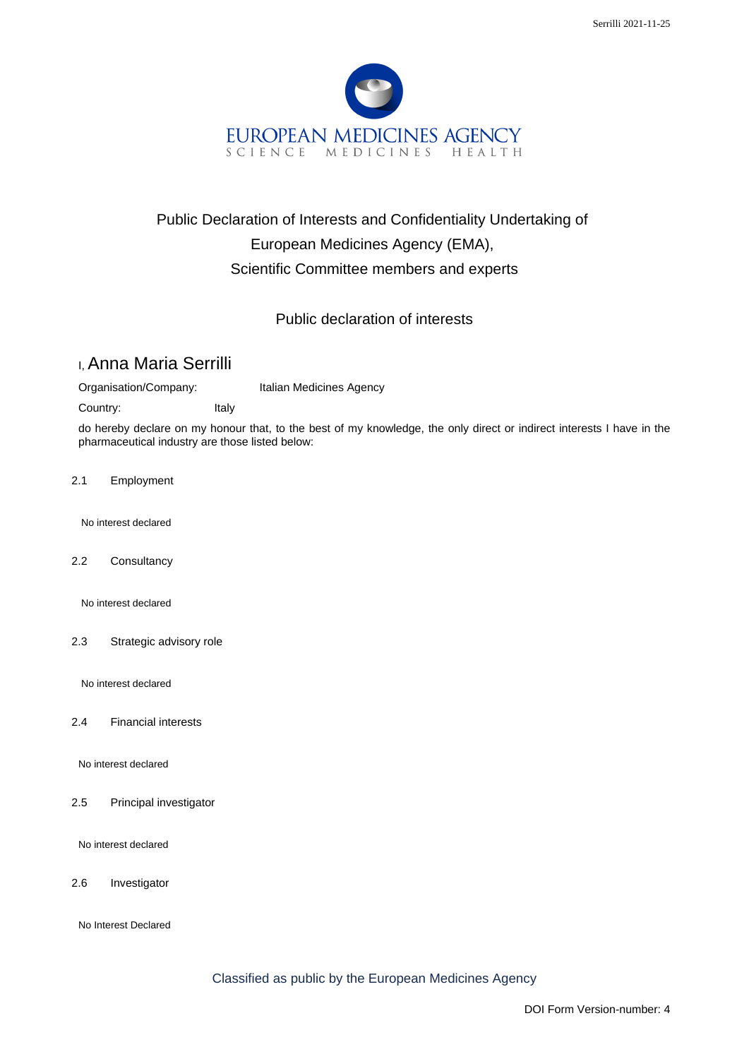

## Public Declaration of Interests and Confidentiality Undertaking of European Medicines Agency (EMA), Scientific Committee members and experts

## Public declaration of interests

## I, Anna Maria Serrilli

Organisation/Company: Italian Medicines Agency

Country: Italy

do hereby declare on my honour that, to the best of my knowledge, the only direct or indirect interests I have in the pharmaceutical industry are those listed below:

2.1 Employment

No interest declared

2.2 Consultancy

No interest declared

2.3 Strategic advisory role

No interest declared

2.4 Financial interests

No interest declared

2.5 Principal investigator

No interest declared

2.6 Investigator

No Interest Declared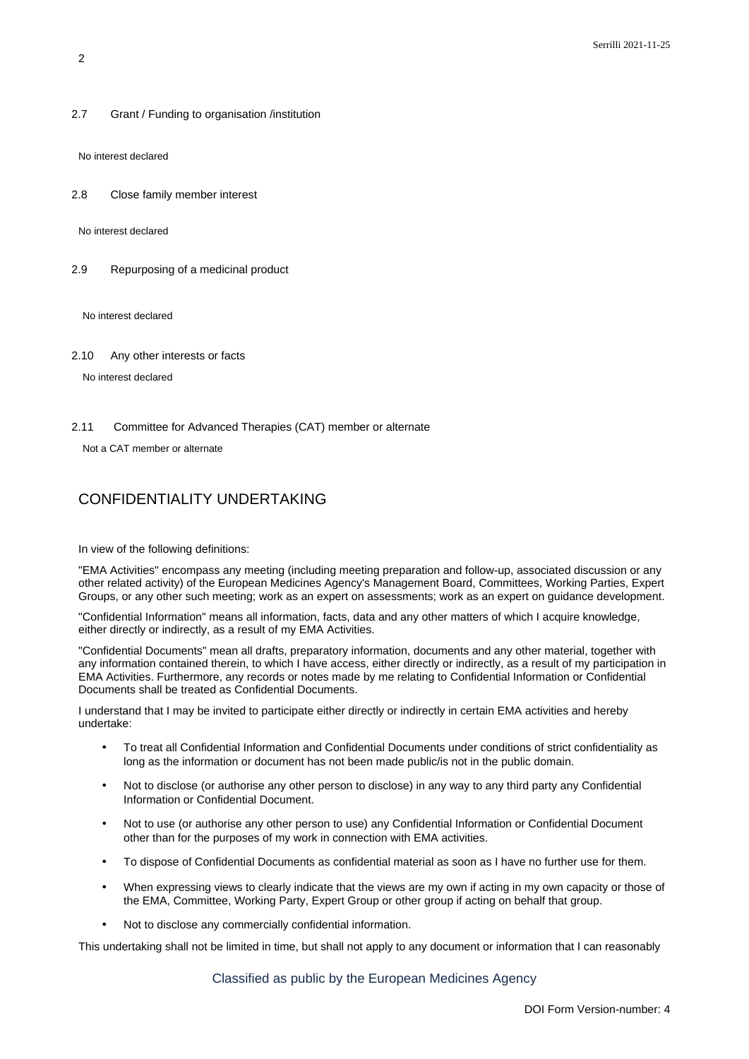2.7 Grant / Funding to organisation /institution

No interest declared

2.8 Close family member interest

No interest declared

2.9 Repurposing of a medicinal product

No interest declared

2.10 Any other interests or facts

No interest declared

2.11 Committee for Advanced Therapies (CAT) member or alternate

Not a CAT member or alternate

## CONFIDENTIALITY UNDERTAKING

In view of the following definitions:

"EMA Activities" encompass any meeting (including meeting preparation and follow-up, associated discussion or any other related activity) of the European Medicines Agency's Management Board, Committees, Working Parties, Expert Groups, or any other such meeting; work as an expert on assessments; work as an expert on guidance development.

"Confidential Information" means all information, facts, data and any other matters of which I acquire knowledge, either directly or indirectly, as a result of my EMA Activities.

"Confidential Documents" mean all drafts, preparatory information, documents and any other material, together with any information contained therein, to which I have access, either directly or indirectly, as a result of my participation in EMA Activities. Furthermore, any records or notes made by me relating to Confidential Information or Confidential Documents shall be treated as Confidential Documents.

I understand that I may be invited to participate either directly or indirectly in certain EMA activities and hereby undertake:

- To treat all Confidential Information and Confidential Documents under conditions of strict confidentiality as long as the information or document has not been made public/is not in the public domain.
- Not to disclose (or authorise any other person to disclose) in any way to any third party any Confidential Information or Confidential Document.
- Not to use (or authorise any other person to use) any Confidential Information or Confidential Document other than for the purposes of my work in connection with EMA activities.
- To dispose of Confidential Documents as confidential material as soon as I have no further use for them.
- When expressing views to clearly indicate that the views are my own if acting in my own capacity or those of the EMA, Committee, Working Party, Expert Group or other group if acting on behalf that group.
- Not to disclose any commercially confidential information.

This undertaking shall not be limited in time, but shall not apply to any document or information that I can reasonably

Classified as public by the European Medicines Agency